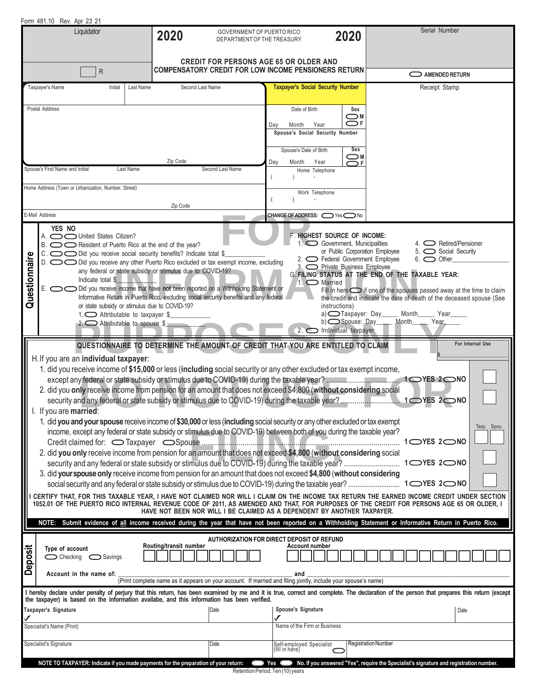|                                                                                                                                                                                                                                                                                                                                                                                                                                                                                                                                                                                                                                                                                                                                                                                                                                                                                                                                                                                                                                                                                                                                                                                                                                                                                                                                                                                      | Form 481.10 Rev. Apr 23 21                                                                                                                                                                                                                                                                                                                                                                                                                                                                                                                                                                                                                                                                                                                                                                                                                                                                                                                                                                                                                                                                                                                                                                                                                                                                                                                               |                                                                                     |                                                                                                              |          |                                                                                                     |                                                                              |                                                                             |                            |                                                                                        |  |  |
|--------------------------------------------------------------------------------------------------------------------------------------------------------------------------------------------------------------------------------------------------------------------------------------------------------------------------------------------------------------------------------------------------------------------------------------------------------------------------------------------------------------------------------------------------------------------------------------------------------------------------------------------------------------------------------------------------------------------------------------------------------------------------------------------------------------------------------------------------------------------------------------------------------------------------------------------------------------------------------------------------------------------------------------------------------------------------------------------------------------------------------------------------------------------------------------------------------------------------------------------------------------------------------------------------------------------------------------------------------------------------------------|----------------------------------------------------------------------------------------------------------------------------------------------------------------------------------------------------------------------------------------------------------------------------------------------------------------------------------------------------------------------------------------------------------------------------------------------------------------------------------------------------------------------------------------------------------------------------------------------------------------------------------------------------------------------------------------------------------------------------------------------------------------------------------------------------------------------------------------------------------------------------------------------------------------------------------------------------------------------------------------------------------------------------------------------------------------------------------------------------------------------------------------------------------------------------------------------------------------------------------------------------------------------------------------------------------------------------------------------------------|-------------------------------------------------------------------------------------|--------------------------------------------------------------------------------------------------------------|----------|-----------------------------------------------------------------------------------------------------|------------------------------------------------------------------------------|-----------------------------------------------------------------------------|----------------------------|----------------------------------------------------------------------------------------|--|--|
| Liquidator                                                                                                                                                                                                                                                                                                                                                                                                                                                                                                                                                                                                                                                                                                                                                                                                                                                                                                                                                                                                                                                                                                                                                                                                                                                                                                                                                                           |                                                                                                                                                                                                                                                                                                                                                                                                                                                                                                                                                                                                                                                                                                                                                                                                                                                                                                                                                                                                                                                                                                                                                                                                                                                                                                                                                          |                                                                                     | GOVERNMENT OF PUERTO RICO<br>2020<br>2020<br>DEPARTMENT OF THE TREASURY                                      |          |                                                                                                     |                                                                              | Serial Number                                                               |                            |                                                                                        |  |  |
| $\mathsf{R}$                                                                                                                                                                                                                                                                                                                                                                                                                                                                                                                                                                                                                                                                                                                                                                                                                                                                                                                                                                                                                                                                                                                                                                                                                                                                                                                                                                         |                                                                                                                                                                                                                                                                                                                                                                                                                                                                                                                                                                                                                                                                                                                                                                                                                                                                                                                                                                                                                                                                                                                                                                                                                                                                                                                                                          |                                                                                     | <b>CREDIT FOR PERSONS AGE 65 OR OLDER AND</b><br><b>COMPENSATORY CREDIT FOR LOW INCOME PENSIONERS RETURN</b> |          |                                                                                                     |                                                                              |                                                                             |                            |                                                                                        |  |  |
|                                                                                                                                                                                                                                                                                                                                                                                                                                                                                                                                                                                                                                                                                                                                                                                                                                                                                                                                                                                                                                                                                                                                                                                                                                                                                                                                                                                      |                                                                                                                                                                                                                                                                                                                                                                                                                                                                                                                                                                                                                                                                                                                                                                                                                                                                                                                                                                                                                                                                                                                                                                                                                                                                                                                                                          |                                                                                     |                                                                                                              |          |                                                                                                     |                                                                              |                                                                             |                            | AMENDED RETURN                                                                         |  |  |
|                                                                                                                                                                                                                                                                                                                                                                                                                                                                                                                                                                                                                                                                                                                                                                                                                                                                                                                                                                                                                                                                                                                                                                                                                                                                                                                                                                                      | Taxpayer's Name                                                                                                                                                                                                                                                                                                                                                                                                                                                                                                                                                                                                                                                                                                                                                                                                                                                                                                                                                                                                                                                                                                                                                                                                                                                                                                                                          | Initial                                                                             | Last Name                                                                                                    |          | Second Last Name                                                                                    |                                                                              | <b>Taxpayer's Social Security Number</b>                                    |                            | Receipt Stamp                                                                          |  |  |
|                                                                                                                                                                                                                                                                                                                                                                                                                                                                                                                                                                                                                                                                                                                                                                                                                                                                                                                                                                                                                                                                                                                                                                                                                                                                                                                                                                                      | Postal Address                                                                                                                                                                                                                                                                                                                                                                                                                                                                                                                                                                                                                                                                                                                                                                                                                                                                                                                                                                                                                                                                                                                                                                                                                                                                                                                                           |                                                                                     |                                                                                                              |          |                                                                                                     | Date of Birth<br>Month<br>Day<br>Spouse's Date of Birth                      | Sex<br>⊂™<br>$\bigcirc$ F<br>Year<br>Spouse's Social Security Number<br>Sex |                            |                                                                                        |  |  |
|                                                                                                                                                                                                                                                                                                                                                                                                                                                                                                                                                                                                                                                                                                                                                                                                                                                                                                                                                                                                                                                                                                                                                                                                                                                                                                                                                                                      | Spouse's First Name and Initial                                                                                                                                                                                                                                                                                                                                                                                                                                                                                                                                                                                                                                                                                                                                                                                                                                                                                                                                                                                                                                                                                                                                                                                                                                                                                                                          |                                                                                     | Last Name                                                                                                    | Zip Code | Second Last Name                                                                                    | Day<br>Month                                                                 | ⊂™<br>Year<br>$\bigcirc$ F<br>Home Telephone                                |                            |                                                                                        |  |  |
| Home Address (Town or Urbanization, Number, Street)<br>Zip Code                                                                                                                                                                                                                                                                                                                                                                                                                                                                                                                                                                                                                                                                                                                                                                                                                                                                                                                                                                                                                                                                                                                                                                                                                                                                                                                      |                                                                                                                                                                                                                                                                                                                                                                                                                                                                                                                                                                                                                                                                                                                                                                                                                                                                                                                                                                                                                                                                                                                                                                                                                                                                                                                                                          |                                                                                     |                                                                                                              |          |                                                                                                     |                                                                              | Work Telephone                                                              |                            |                                                                                        |  |  |
|                                                                                                                                                                                                                                                                                                                                                                                                                                                                                                                                                                                                                                                                                                                                                                                                                                                                                                                                                                                                                                                                                                                                                                                                                                                                                                                                                                                      | E-Mail Address                                                                                                                                                                                                                                                                                                                                                                                                                                                                                                                                                                                                                                                                                                                                                                                                                                                                                                                                                                                                                                                                                                                                                                                                                                                                                                                                           |                                                                                     |                                                                                                              |          |                                                                                                     | <b>CHANGE OF ADDRESS: <math>\bigcirc</math> Yes <math>\bigcirc</math> No</b> |                                                                             |                            |                                                                                        |  |  |
| Questionnaire                                                                                                                                                                                                                                                                                                                                                                                                                                                                                                                                                                                                                                                                                                                                                                                                                                                                                                                                                                                                                                                                                                                                                                                                                                                                                                                                                                        | YES NO<br><b>F. HIGHEST SOURCE OF INCOME:</b><br>A. $\bigcirc$ United States Citizen?<br>1. Government, Municipalities<br>4. $\bigcirc$ Retired/Pensioner<br>B. $\bigcirc$ Resident of Puerto Rico at the end of the year?<br>or Public Corporation Employee<br>5. Social Security<br>$C.$ $\bigodot$ $\bigodot$ Did you receive social security benefits? Indicate total \$<br>2. C Federal Government Employee<br>$6.$ $\bigcirc$ Other<br>D. O Did you receive any other Puerto Rico excluded or tax exempt income, excluding<br>3. O Private Business Employee<br>any federal or state subsidy or stimulus due to COVID-19?<br>G. FILING STATUS AT THE END OF THE TAXABLE YEAR:<br>Indicate total \$<br>1. $\bigcirc$ Married<br>E. O O Did you receive income that have not been reported on a Withholding Statement or<br>Fill in here $\bigcirc$ if one of the spouses passed away at the time to claim<br>Informative Return in Puerto Rico, excluding social security benefits and any federal<br>the credit and indicate the date of death of the deceased spouse (See<br>or state subsidy or stimulus due to COVID-19?<br>instructions)<br>$a)$ $\Box$ Taxpayer: Day Month<br>1. $\bigcirc$ Attributable to taxpayer \$<br>Year<br>b) Spouse: Day ____ Month ____ Year<br>2. $\bigcirc$ Attributable to spouse \$<br>$2.$ Individual taxpayer |                                                                                     |                                                                                                              |          |                                                                                                     |                                                                              |                                                                             |                            |                                                                                        |  |  |
| H. If you are an individual taxpayer:<br>1. did you receive income of \$15,000 or less (including social security or any other excluded or tax exempt income,<br>2. did you only receive income from pension for an amount that does not exceed \$4,800 (without considering social<br>I. If you are married:<br>1. did you and your spouse receive income of \$30,000 or less (including social security or any other excluded or tax exempt<br>Taxp. Spou.<br>income, except any federal or state subsidy or stimulus due to COVID-19) between both of you during the taxable year?<br>1 ◯ YES 2 ◯ NO<br>2. did you only receive income from pension for an amount that does not exceed \$4,800 (without considering social<br>3. did your spouse only receive income from pension for an amount that does not exceed \$4,800 (without considering<br>CERTIFY THAT, FOR THIS TAXABLE YEAR, I HAVE NOT CLAIMED NOR WILL I CLAIM ON THE INCOME TAX RETURN THE EARNED INCOME CREDIT UNDER SECTION<br>1052.01 OF THE PUERTO RICO INTERNAL REVENUE CODE OF 2011, AS AMENDED AND THAT, FOR PURPOSES OF THE CREDIT FOR PERSONS AGE 65 OR OLDER, I<br>HAVE NOT BEEN NOR WILL I BE CLAIMED AS A DEPENDENT BY ANOTHER TAXPAYER.<br>NOTE: Submit evidence of all income received during the year that have not been reported on a Withholding Statement or Informative Return in Puerto Rico. |                                                                                                                                                                                                                                                                                                                                                                                                                                                                                                                                                                                                                                                                                                                                                                                                                                                                                                                                                                                                                                                                                                                                                                                                                                                                                                                                                          |                                                                                     |                                                                                                              |          |                                                                                                     |                                                                              |                                                                             |                            |                                                                                        |  |  |
| AUTHORIZATION FOR DIRECT DEPOSIT OF REFUND<br>Routing/transit number<br>Account number<br>Deposit<br>Type of account<br>$\bigcirc$ Checking $\bigcirc$ Savings<br>Account in the name of:<br>and<br>(Print complete name as it appears on your account. If married and filing jointly, include your spouse's name)                                                                                                                                                                                                                                                                                                                                                                                                                                                                                                                                                                                                                                                                                                                                                                                                                                                                                                                                                                                                                                                                   |                                                                                                                                                                                                                                                                                                                                                                                                                                                                                                                                                                                                                                                                                                                                                                                                                                                                                                                                                                                                                                                                                                                                                                                                                                                                                                                                                          |                                                                                     |                                                                                                              |          |                                                                                                     |                                                                              |                                                                             |                            |                                                                                        |  |  |
|                                                                                                                                                                                                                                                                                                                                                                                                                                                                                                                                                                                                                                                                                                                                                                                                                                                                                                                                                                                                                                                                                                                                                                                                                                                                                                                                                                                      | I hereby declare under penalty of perjury that this return, has been examined by me and it is true, correct and complete. The declaration of the person that prepares this return (except                                                                                                                                                                                                                                                                                                                                                                                                                                                                                                                                                                                                                                                                                                                                                                                                                                                                                                                                                                                                                                                                                                                                                                |                                                                                     |                                                                                                              |          |                                                                                                     |                                                                              |                                                                             |                            |                                                                                        |  |  |
|                                                                                                                                                                                                                                                                                                                                                                                                                                                                                                                                                                                                                                                                                                                                                                                                                                                                                                                                                                                                                                                                                                                                                                                                                                                                                                                                                                                      | Taxpayer's Signature                                                                                                                                                                                                                                                                                                                                                                                                                                                                                                                                                                                                                                                                                                                                                                                                                                                                                                                                                                                                                                                                                                                                                                                                                                                                                                                                     |                                                                                     |                                                                                                              |          | the taxpayer) is based on the information availabe, and this information has been verified.<br>Date |                                                                              | Spouse's Signature<br>Date                                                  |                            |                                                                                        |  |  |
| ✔<br>Specialist's Name (Print)                                                                                                                                                                                                                                                                                                                                                                                                                                                                                                                                                                                                                                                                                                                                                                                                                                                                                                                                                                                                                                                                                                                                                                                                                                                                                                                                                       |                                                                                                                                                                                                                                                                                                                                                                                                                                                                                                                                                                                                                                                                                                                                                                                                                                                                                                                                                                                                                                                                                                                                                                                                                                                                                                                                                          |                                                                                     |                                                                                                              |          |                                                                                                     |                                                                              | Name of the Firm or Business                                                |                            |                                                                                        |  |  |
| Specialist's Signature<br>Date                                                                                                                                                                                                                                                                                                                                                                                                                                                                                                                                                                                                                                                                                                                                                                                                                                                                                                                                                                                                                                                                                                                                                                                                                                                                                                                                                       |                                                                                                                                                                                                                                                                                                                                                                                                                                                                                                                                                                                                                                                                                                                                                                                                                                                                                                                                                                                                                                                                                                                                                                                                                                                                                                                                                          |                                                                                     |                                                                                                              |          |                                                                                                     | Self-employed Specialist<br>(fill in here)                                   |                                                                             | <b>Registration Number</b> |                                                                                        |  |  |
|                                                                                                                                                                                                                                                                                                                                                                                                                                                                                                                                                                                                                                                                                                                                                                                                                                                                                                                                                                                                                                                                                                                                                                                                                                                                                                                                                                                      |                                                                                                                                                                                                                                                                                                                                                                                                                                                                                                                                                                                                                                                                                                                                                                                                                                                                                                                                                                                                                                                                                                                                                                                                                                                                                                                                                          | NOTE TO TAXPAYER: Indicate if you made payments for the preparation of your return: |                                                                                                              |          |                                                                                                     |                                                                              |                                                                             |                            | No. If you answered "Yes", require the Specialist's signature and registration number. |  |  |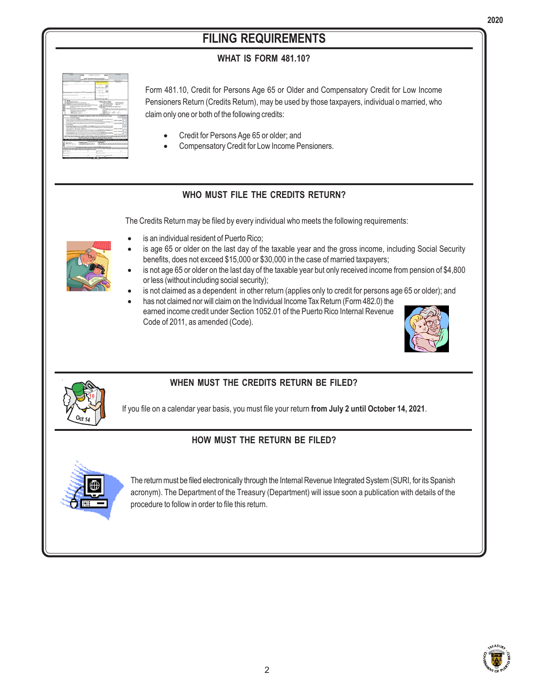# **FILING REQUIREMENTS**

### **WHAT IS FORM 481.10?**



Form 481.10, Credit for Persons Age 65 or Older and Compensatory Credit for Low Income Pensioners Return (Credits Return), may be used by those taxpayers, individual o married, who claim only one or both of the following credits:

- Credit for Persons Age 65 or older; and
- Compensatory Credit for Low Income Pensioners.

### **WHO MUST FILE THE CREDITS RETURN?**

The Credits Return may be filed by every individual who meets the following requirements:



- is an individual resident of Puerto Rico;
- is age 65 or older on the last day of the taxable year and the gross income, including Social Security benefits, does not exceed \$15,000 or \$30,000 in the case of married taxpayers;
- is not age 65 or older on the last day of the taxable year but only received income from pension of \$4,800 or less (without including social security);
- is not claimed as a dependent in other return (applies only to credit for persons age 65 or older); and
- has not claimed nor will claim on the Individual Income Tax Return (Form 482.0) the earned income credit under Section 1052.01 of the Puerto Rico Internal Revenue Code of 2011, as amended (Code).





### **WHEN MUST THE CREDITS RETURN BE FILED?**

If you file on a calendar year basis, you must file your return **from July 2 until October 14, 2021**.

### **HOW MUST THE RETURN BE FILED?**



The return must be filed electronically through the Internal Revenue Integrated System (SURI, for its Spanish acronym). The Department of the Treasury (Department) will issue soon a publication with details of the procedure to follow in order to file this return.

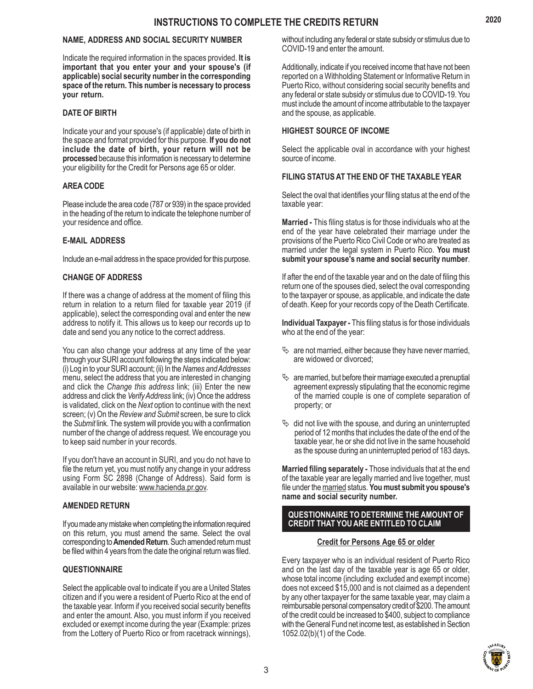#### **NAME, ADDRESS AND SOCIAL SECURITY NUMBER**

Indicate the required information in the spaces provided. **It is important that you enter your and your spouse's (if applicable) social security number in the corresponding space of the return. This number is necessary to process your return.**

#### **DATE OF BIRTH**

Indicate your and your spouse's (if applicable) date of birth in the space and format provided for this purpose. **If you do not include the date of birth, your return will not be processed** because this information is necessary to determine your eligibility for the Credit for Persons age 65 or older.

#### **AREA CODE**

Please include the area code (787 or 939) in the space provided in the heading of the return to indicate the telephone number of your residence and office.

#### **E-MAIL ADDRESS**

Include an e-mail address in the space provided for this purpose.

#### **CHANGE OF ADDRESS**

If there was a change of address at the moment of filing this return in relation to a return filed for taxable year 2019 (if applicable), select the corresponding oval and enter the new address to notify it. This allows us to keep our records up to date and send you any notice to the correct address.

You can also change your address at any time of the year through your SURI account following the steps indicated below: (i) Log in to your SURI account; (ii) In the *Names and Addresses* menu, select the address that you are interested in changing and click the *Change this address* link; (iii) Enter the new address and click the *Verify Address* link; (iv) Once the address is validated, click on the *Next* option to continue with the next screen; (v) On the *Review and Submit* screen, be sure to click the *Submit* link. The system will provide you with a confirmation number of the change of address request. We encourage you to keep said number in your records.

If you don't have an account in SURI, and you do not have to file the return yet, you must notify any change in your address using Form SC 2898 (Change of Address). Said form is available in our website: www.hacienda.pr.gov.

#### **AMENDED RETURN**

If you made any mistake when completing the information required on this return, you must amend the same. Select the oval corresponding to **Amended Return**. Such amended return must be filed within 4 years from the date the original return was filed.

#### **QUESTIONNAIRE**

Select the applicable oval to indicate if you are a United States citizen and if you were a resident of Puerto Rico at the end of the taxable year. Inform if you received social security benefits and enter the amount. Also, you must inform if you received excluded or exempt income during the year (Example: prizes from the Lottery of Puerto Rico or from racetrack winnings),

without including any federal or state subsidy or stimulus due to COVID-19 and enter the amount.

Additionally, indicate if you received income that have not been reported on a Withholding Statement or Informative Return in Puerto Rico, without considering social security benefits and any federal or state subsidy or stimulus due to COVID-19. You must include the amount of income attributable to the taxpayer and the spouse, as applicable.

#### **HIGHEST SOURCE OF INCOME**

Select the applicable oval in accordance with your highest source of income.

#### **FILING STATUS AT THE END OF THE TAXABLE YEAR**

Select the oval that identifies your filing status at the end of the taxable year:

**Married -** This filing status is for those individuals who at the end of the year have celebrated their marriage under the provisions of the Puerto Rico Civil Code or who are treated as married under the legal system in Puerto Rico. **You must submit your spouse's name and social security number**.

If after the end of the taxable year and on the date of filing this return one of the spouses died, select the oval corresponding to the taxpayer or spouse, as applicable, and indicate the date of death. Keep for your records copy of the Death Certificate.

**Individual Taxpayer -** This filing status is for those individuals who at the end of the year:

- $\&$  are not married, either because they have never married, are widowed or divorced;
- $\%$  are married, but before their marriage executed a prenuptial agreement expressly stipulating that the economic regime of the married couple is one of complete separation of property; or
- $\&$  did not live with the spouse, and during an uninterrupted period of 12 months that includes the date of the end of the taxable year, he or she did not live in the same household as the spouse during an uninterrupted period of 183 days**.**

**Married filing separately -** Those individuals that at the end of the taxable year are legally married and live together, must file under the married status. **You must submit you spouse's name and social security number.**

#### **QUESTIONNAIRE TO DETERMINE THE AMOUNT OF CREDIT THAT YOU ARE ENTITLED TO CLAIM**

#### **Credit for Persons Age 65 or older**

Every taxpayer who is an individual resident of Puerto Rico and on the last day of the taxable year is age 65 or older, whose total income (including excluded and exempt income) does not exceed \$15,000 and is not claimed as a dependent by any other taxpayer for the same taxable year, may claim a reimbursable personal compensatory credit of \$200. The amount of the credit could be increased to \$400, subject to compliance with the General Fund net income test, as established in Section 1052.02(b)(1) of the Code.

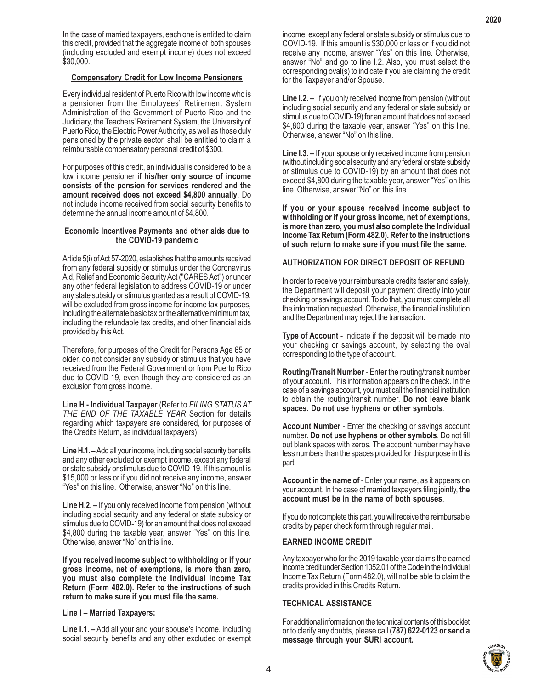#### **Compensatory Credit for Low Income Pensioners**

Every individual resident of Puerto Rico with low income who is a pensioner from the Employees' Retirement System Administration of the Government of Puerto Rico and the Judiciary, the Teachers' Retirement System, the University of Puerto Rico, the Electric Power Authority, as well as those duly pensioned by the private sector, shall be entitled to claim a reimbursable compensatory personal credit of \$300.

For purposes of this credit, an individual is considered to be a low income pensioner if **his/her only source of income consists of the pension for services rendered and the amount received does not exceed \$4,800 annually**. Do not include income received from social security benefits to determine the annual income amount of \$4,800.

#### **Economic Incentives Payments and other aids due to the COVID-19 pandemic**

Article 5(i) of Act 57-2020, establishes that the amounts received from any federal subsidy or stimulus under the Coronavirus Aid, Relief and Economic Security Act ("CARES Act") or under any other federal legislation to address COVID-19 or under any state subsidy or stimulus granted as a result of COVID-19, will be excluded from gross income for income tax purposes, including the alternate basic tax or the alternative minimum tax, including the refundable tax credits, and other financial aids provided by this Act.

Therefore, for purposes of the Credit for Persons Age 65 or older, do not consider any subsidy or stimulus that you have received from the Federal Government or from Puerto Rico due to COVID-19, even though they are considered as an exclusion from gross income.

**Line H - Individual Taxpayer** (Refer to *FILING STATUS AT THE END OF THE TAXABLE YEAR* Section for details regarding which taxpayers are considered, for purposes of the Credits Return, as individual taxpayers):

**Line H.1. –** Add all your income, including social security benefits and any other excluded or exempt income, except any federal or state subsidy or stimulus due to COVID-19. If this amount is \$15,000 or less or if you did not receive any income, answer "Yes" on this line. Otherwise, answer "No" on this line.

**Line H.2. –** If you only received income from pension (without including social security and any federal or state subsidy or stimulus due to COVID-19) for an amount that does not exceed \$4,800 during the taxable year, answer "Yes" on this line. Otherwise, answer "No" on this line.

**If you received income subject to withholding or if your gross income, net of exemptions, is more than zero, you must also complete the Individual Income Tax Return (Form 482.0). Refer to the instructions of such return to make sure if you must file the same.**

**Line I – Married Taxpayers:**

**Line I.1. –** Add all your and your spouse's income, including social security benefits and any other excluded or exempt income, except any federal or state subsidy or stimulus due to COVID-19. If this amount is \$30,000 or less or if you did not receive any income, answer "Yes" on this line. Otherwise, answer "No" and go to line I.2. Also, you must select the corresponding oval(s) to indicate if you are claiming the credit for the Taxpayer and/or Spouse.

**Line I.2. –** If you only received income from pension (without including social security and any federal or state subsidy or stimulus due to COVID-19) for an amount that does not exceed \$4,800 during the taxable year, answer "Yes" on this line. Otherwise, answer "No" on this line.

**Line I.3. –** If your spouse only received income from pension (without including social security and any federal or state subsidy or stimulus due to COVID-19) by an amount that does not exceed \$4,800 during the taxable year, answer "Yes" on this line. Otherwise, answer "No" on this line.

**If you or your spouse received income subject to withholding or if your gross income, net of exemptions, is more than zero, you must also complete the Individual Income Tax Return (Form 482.0). Refer to the instructions of such return to make sure if you must file the same.**

#### **AUTHORIZATION FOR DIRECT DEPOSIT OF REFUND**

In order to receive your reimbursable credits faster and safely, the Department will deposit your payment directly into your checking or savings account. To do that, you must complete all the information requested. Otherwise, the financial institution and the Department may reject the transaction.

**Type of Account** - Indicate if the deposit will be made into your checking or savings account, by selecting the oval corresponding to the type of account.

**Routing/Transit Number** - Enter the routing/transit number of your account. This information appears on the check. In the case of a savings account, you must call the financial institution to obtain the routing/transit number. **Do not leave blank spaces. Do not use hyphens or other symbols**.

**Account Number** - Enter the checking or savings account number. **Do not use hyphens or other symbols**. Do not fill out blank spaces with zeros. The account number may have less numbers than the spaces provided for this purpose in this part.

**Account in the name of** - Enter your name, as it appears on your account. In the case of married taxpayers filing jointly, **the account must be in the name of both spouses**.

If you do not complete this part, you will receive the reimbursable credits by paper check form through regular mail.

#### **EARNED INCOME CREDIT**

Any taxpayer who for the 2019 taxable year claims the earned income credit under Section 1052.01 of the Code in the Individual Income Tax Return (Form 482.0), will not be able to claim the credits provided in this Credits Return.

#### **TECHNICAL ASSISTANCE**

For additional information on the technical contents of this booklet or to clarify any doubts, please call **(787) 622-0123 or send a message through your SURI account.**

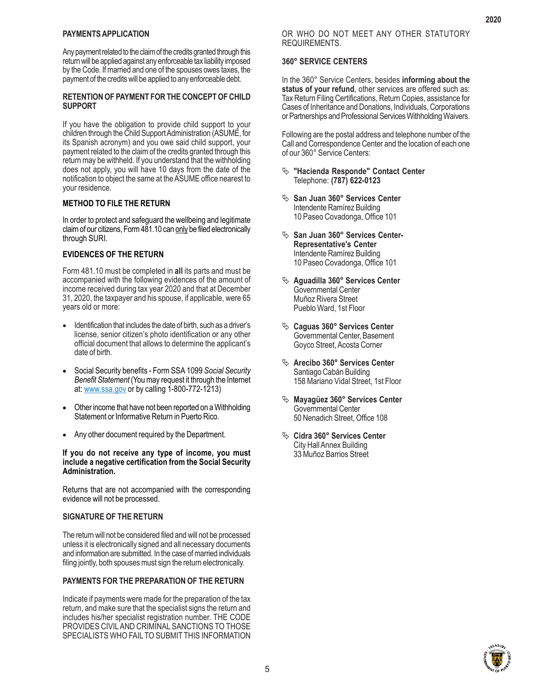#### **PAYMENTS APPLICATION**

Any payment related to the claim of the credits granted through this return will be applied against any enforceable tax liability imposed by the Code. If married and one of the spouses owes taxes, the payment of the credits will be applied to any enforceable debt.

#### **RETENTION OF PAYMENT FOR THE CONCEPT OF CHILD SUPPORT**

If you have the obligation to provide child support to your children through the Child Support Administration (ASUME, for its Spanish acronym) and you owe said child support, your payment related to the claim of the credits granted through this return may be withheld. If you understand that the withholding does not apply, you will have 10 days from the date of the notification to object the same at the ASUME office nearest to your residence.

#### **METHOD TO FILE THE RETURN**

In order to protect and safeguard the wellbeing and legitimate claim of our citizens, Form 481.10 can only be filed electronically through SURI.

#### **EVIDENCES OF THE RETURN**

Form 481.10 must be completed in **all** its parts and must be accompanied with the following evidences of the amount of income received during tax year 2020 and that at December 31, 2020, the taxpayer and his spouse, if applicable, were 65 years old or more:

- Identification that includes the date of birth, such as a driver's license, senior citizen's photo identification or any other official document that allows to determine the applicant's date of birth.
- x Social Security benefits Form SSA 1099 *Social Security Benefit Statement* (You may request it through the Internet at: www.ssa.gov or by calling 1-800-772-1213)
- Other income that have not been reported on a Withholding Statement or Informative Return in Puerto Rico.
- Any other document required by the Department.

#### **If you do not receive any type of income, you must include a negative certification from the Social Security Administration.**

Returns that are not accompanied with the corresponding evidence will not be processed.

#### **SIGNATURE OF THE RETURN**

The return will not be considered filed and will not be processed unless it is electronically signed and all necessary documents and information are submitted. In the case of married individuals filing jointly, both spouses must sign the return electronically.

#### **PAYMENTS FOR THE PREPARATION OF THE RETURN**

Indicate if payments were made for the preparation of the tax return, and make sure that the specialist signs the return and includes his/her specialist registration number. THE CODE PROVIDES CIVIL AND CRIMINAL SANCTIONS TO THOSE SPECIALISTS WHO FAIL TO SUBMIT THIS INFORMATION

#### **360° SERVICE CENTERS**

In the 360° Service Centers, besides **informing about the status of your refund**, other services are offered such as: Tax Return Filing Certifications, Return Copies, assistance for Cases of Inheritance and Donations, Individuals, Corporations or Partnerships and Professional Services Withholding Waivers.

Following are the postal address and telephone number of the Call and Correspondence Center and the location of each one of our 360° Service Centers:

- ª **"Hacienda Responde" Contact Center** Telephone: **(787) 622-0123**
- <sup> $\psi$ </sup> San Juan 360° Services Center Intendente Ramírez Building 10 Paseo Covadonga, Office 101
- <sup> $\psi$ </sup> San Juan 360° Services Center-**Representative's Center** Intendente Ramírez Building 10 Paseo Covadonga, Office 101
- ª **Aguadilla 360° Services Center** Governmental Center Muñoz Rivera Street Pueblo Ward, 1st Floor
- ª **Caguas 360° Services Center** Governmental Center, Basement Goyco Street, Acosta Corner
- ª **Arecibo 360° Services Center** Santiago Cabán Building 158 Mariano Vidal Street, 1st Floor
- ª **Mayagüez 360° Services Center** Governmental Center 50 Nenadich Street, Office 108
- <sup> $\%$ </sup> Cidra 360° Services Center City Hall Annex Building 33 Muñoz Barrios Street

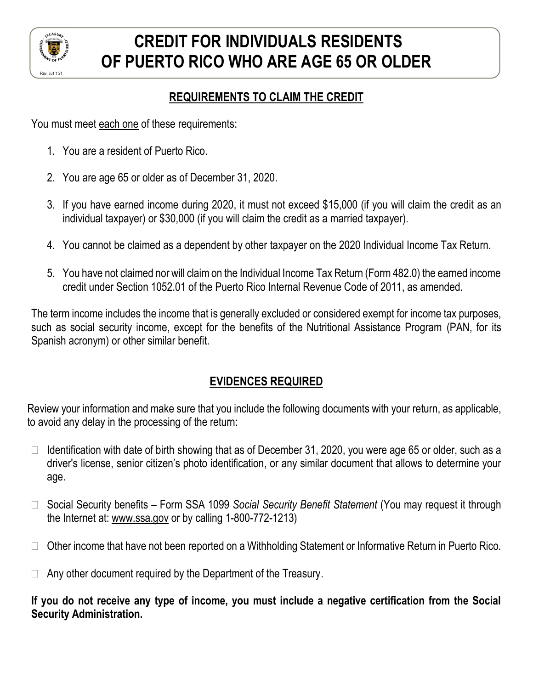

# **CREDIT FOR INDIVIDUALS RESIDENTS OF PUERTO RICO WHO ARE AGE 65 OR OLDER**

### **REQUIREMENTS TO CLAIM THE CREDIT**

You must meet each one of these requirements:

- 1. You are a resident of Puerto Rico.
- 2. You are age 65 or older as of December 31, 2020.
- 3. If you have earned income during 2020, it must not exceed \$15,000 (if you will claim the credit as an individual taxpayer) or \$30,000 (if you will claim the credit as a married taxpayer).
- 4. You cannot be claimed as a dependent by other taxpayer on the 2020 Individual Income Tax Return.
- 5. You have not claimed nor will claim on the Individual Income Tax Return (Form 482.0) the earned income credit under Section 1052.01 of the Puerto Rico Internal Revenue Code of 2011, as amended.

The term income includes the income that is generally excluded or considered exempt for income tax purposes, such as social security income, except for the benefits of the Nutritional Assistance Program (PAN, for its Spanish acronym) or other similar benefit.

## **EVIDENCES REQUIRED**

Review your information and make sure that you include the following documents with your return, as applicable, to avoid any delay in the processing of the return:

- $\Box$  Identification with date of birth showing that as of December 31, 2020, you were age 65 or older, such as a driver's license, senior citizen's photo identification, or any similar document that allows to determine your age.
- Social Security benefits Form SSA 1099 *Social Security Benefit Statement* (You may request it through the Internet at: www.ssa.gov or by calling 1-800-772-1213)
- □ Other income that have not been reported on a Withholding Statement or Informative Return in Puerto Rico.
- $\Box$  Any other document required by the Department of the Treasury.

**If you do not receive any type of income, you must include a negative certification from the Social Security Administration.**